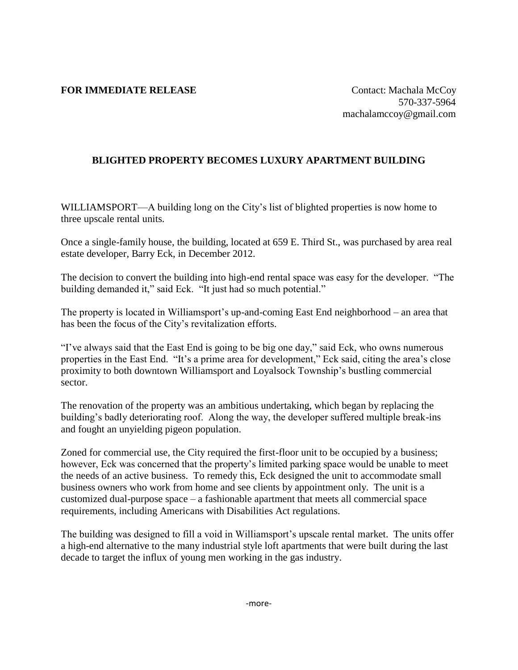## **FOR IMMEDIATE RELEASE** Contact: Machala McCoy

## **BLIGHTED PROPERTY BECOMES LUXURY APARTMENT BUILDING**

WILLIAMSPORT—A building long on the City's list of blighted properties is now home to three upscale rental units.

Once a single-family house, the building, located at 659 E. Third St., was purchased by area real estate developer, Barry Eck, in December 2012.

The decision to convert the building into high-end rental space was easy for the developer. "The building demanded it," said Eck. "It just had so much potential."

The property is located in Williamsport's up-and-coming East End neighborhood – an area that has been the focus of the City's revitalization efforts.

"I've always said that the East End is going to be big one day," said Eck, who owns numerous properties in the East End. "It's a prime area for development," Eck said, citing the area's close proximity to both downtown Williamsport and Loyalsock Township's bustling commercial sector.

The renovation of the property was an ambitious undertaking, which began by replacing the building's badly deteriorating roof. Along the way, the developer suffered multiple break-ins and fought an unyielding pigeon population.

Zoned for commercial use, the City required the first-floor unit to be occupied by a business; however, Eck was concerned that the property's limited parking space would be unable to meet the needs of an active business. To remedy this, Eck designed the unit to accommodate small business owners who work from home and see clients by appointment only. The unit is a customized dual-purpose space – a fashionable apartment that meets all commercial space requirements, including Americans with Disabilities Act regulations.

The building was designed to fill a void in Williamsport's upscale rental market. The units offer a high-end alternative to the many industrial style loft apartments that were built during the last decade to target the influx of young men working in the gas industry.